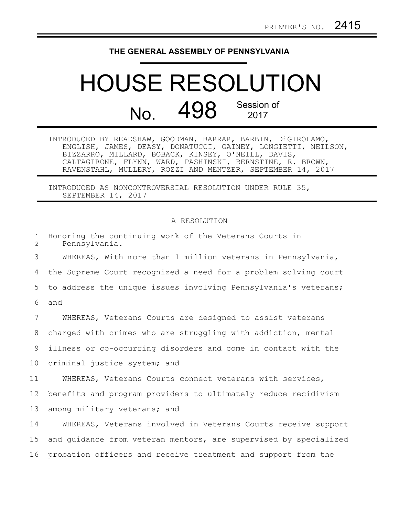## **THE GENERAL ASSEMBLY OF PENNSYLVANIA**

## HOUSE RESOLUTION No. 498 Session of 2017

INTRODUCED BY READSHAW, GOODMAN, BARRAR, BARBIN, DiGIROLAMO, ENGLISH, JAMES, DEASY, DONATUCCI, GAINEY, LONGIETTI, NEILSON, BIZZARRO, MILLARD, BOBACK, KINSEY, O'NEILL, DAVIS, CALTAGIRONE, FLYNN, WARD, PASHINSKI, BERNSTINE, R. BROWN, RAVENSTAHL, MULLERY, ROZZI AND MENTZER, SEPTEMBER 14, 2017

INTRODUCED AS NONCONTROVERSIAL RESOLUTION UNDER RULE 35, SEPTEMBER 14, 2017

## A RESOLUTION

| $\mathbf{1}$<br>$\overline{2}$ | Honoring the continuing work of the Veterans Courts in<br>Pennsylvania. |
|--------------------------------|-------------------------------------------------------------------------|
| 3                              | WHEREAS, With more than 1 million veterans in Pennsylvania,             |
| 4                              | the Supreme Court recognized a need for a problem solving court         |
| 5                              | to address the unique issues involving Pennsylvania's veterans;         |
| 6                              | and                                                                     |
| 7                              | WHEREAS, Veterans Courts are designed to assist veterans                |
| 8                              | charged with crimes who are struggling with addiction, mental           |
| 9                              | illness or co-occurring disorders and come in contact with the          |
| 10 <sub>o</sub>                | criminal justice system; and                                            |
| 11                             | WHEREAS, Veterans Courts connect veterans with services,                |
| 12                             | benefits and program providers to ultimately reduce recidivism          |
| 13                             | among military veterans; and                                            |
| 14                             | WHEREAS, Veterans involved in Veterans Courts receive support           |
| 15                             | and quidance from veteran mentors, are supervised by specialized        |
| 16                             | probation officers and receive treatment and support from the           |
|                                |                                                                         |